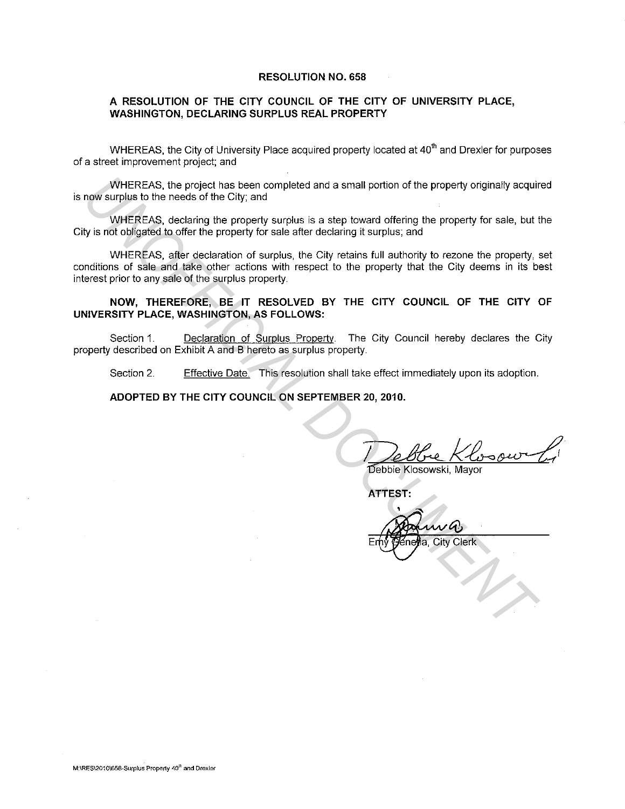### **RESOLUTION NO. 658**

## **A RESOLUTION OF THE CITY COUNCIL OF THE CITY OF UNIVERSITY PLACE, WASHINGTON, DECLARING SURPLUS REAL PROPERTY**

WHEREAS, the City of University Place acquired property located at  $40<sup>th</sup>$  and Drexler for purposes of a street improvement project; and

WHEREAS. the project has been completed and a small portion of the property originally acquired is now surplus to the needs of the City; and

WHEREAS. declaring the property surplus is a step toward offering the property for sale, but the City is not obligated to offer the property for sale after declaring it surplus; and

WHEREAS. after declaration of surplus, the City retains full authority to rezone the property, set conditions of sale and take other actions with respect to the property that the City deems in its best interest prior to any sale of the surplus property. WHEREAS, the project has been completed and a small portion of the property originally acquired way upply to the neaks of the City, and<br>WHEREAS, declaring the property surplus is a step toward offering the property for sal

# **NOW, THEREFORE, BE IT RESOLVED BY THE CITY COUNCIL OF THE CITY OF UNIVERSITY PLACE, WASHINGTON, AS FOLLOWS:**

Section 1. Declaration of Surplus Property. The City Council hereby declares the City property described on Exhibit A and B hereto as surplus property.

Section 2. Effective Date. This resolution shall take effect immediately upon its adoption.

## **ADOPTED BY THE CITY COUNCIL ON SEPTEMBER 20, 2010.**

**ATTEST:** 

City Clerk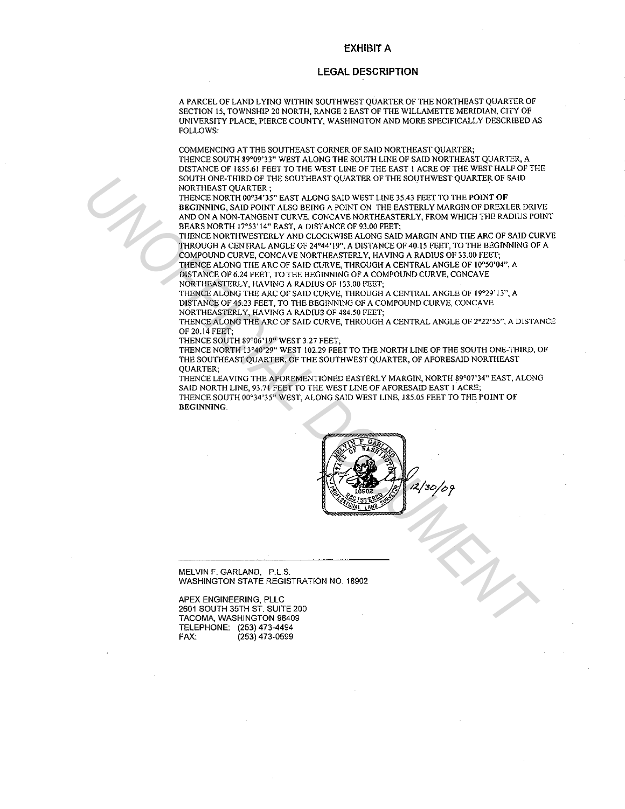#### **EXHIBIT A**

#### **LEGAL DESCRIPTION**

A PARCEL OF LAND LYING WITHIN SOUTHWEST QUARTER OF THE NORTHEAST QUARTER OF SECTION 15, TOWNSHIP 20 NORTH, RANGE 2 EAST OF THE WILLAMETTE MERIDIAN, CITY OF UNIVERSITY PLACE, PIERCE COUNTY, WASHINGTON AND MORE SPECIFICALLY DESCRIBED AS FOLLOWS:

COMMENCING AT THE SOUTHEAST CORNER OF SAID NORTHEAST QUARTER; THENCE SOUTH 89°09'33" WEST ALONG THE SOUTH LINE OF SAID NORTHEAST QUARTER, A DISTANCE OF 1855.61 FEET TO THE WEST LINE OF THE EAST I ACRE OF THE WEST HALF OF THE SOUTH ONE-THIRD OF THE SOUTHEAST QUARTER OF THE SOUTHWEST QUARTER OF SAID NORTHEAST OUARTER:

THENCE NORTH 00°34'35" EAST ALONG SAID WEST LINE 35.43 FEET TO THE POINT OF BEGINNING, SAID POINT ALSO BEING A POINT ON THE EASTERLY MARGIN OF DREXLER DRIVE AND ON A NON-TANGENT CURVE, CONCAVE NORTHEASTERLY, FROM WHICH THE RADIUS POINT BEARS NORTH 17°53'14" EAST, A DISTANCE OF 93.00 FEET;

THENCE NORTHWESTERLY AND CLOCKWISE ALONG SAID MARGIN AND THE ARC OF SAID CURVE THROUGH A CENTRAL ANGLE OF 24°44'19", A DISTANCE OF 40.15 FEET, TO THE BEGINNING OF A COMPOUND CURVE, CONCAVE NORTHEASTERLY, HAVING A RADIUS OF 33.00 FEET; THENCE ALONG THE ARC OF SAID CURVE, THROUGH A CENTRAL ANGLE OF !0°50'04", A DISTANCE OF 6.24 FEET, TO THE BEGINNING OF A COMPOUND CURVE, CONCAVE NORTHEASTERLY, HAVING A RADIUS OF 133.00 FEET; FOURTHEAST OVARITELE STATISTY CONTINUES TO THE SOLUTION CONTINUES TO THE CONTROL CONTROL CONTROL CONTROL CONTROL CONTROL CONTROL CONTROL CONTROL CONTROL CONTROL CONTROL CONTROL CONTROL CONTROL CONTROL CONTROL CONTROL CONTR

THENCE ALONG THE ARC OF SAID CURVE, THROUGH A CENTRAL ANGLE OF 19°29' 13", A DISTANCE OF 45.23 FEET, TO THE BEGINNING OF A COMPOUND CURVE, CONCAVE **NORTHEASTERLY, HAVING A RADlUS OF 484.50 FEET;** 

THENCE ALONG THE ARC OF SAID CURVE, THROUGH A CENTRAL ANGLE OF 2°22'55", A DISTANCE OF 20.14 FEET;

THENCE SOUTH 89°06' 19" WEST 3.27 FEET;

THENCE NORTH 13°40'29" WEST 102.29 FEET TO THE NORTH LINE OF THE SOUTH ONE-THIRD, OF THE SOUTHEAST QUARTER, OF THE SOUTHWEST QUARTER, OF AFORESAID NORTHEAST QUARTER;

THENCE LEAVING THE AFOREMENTIONED EASTERLY MARGIN, NORTH 89°07'34" EAST, ALONG **SAID NORTH LINE, 93.71 FEET TO THE WEST LlNE OF AFORESAID EAST I ACRE;**  THENCE SOUTH 00°34'35" WEST, ALONG SAID WEST LINE, 185.05 FEET TO THE POINT OF BEGINNING.



MELVIN F. GARLAND, P.L.S. WASHINGTON STATE REGISTRATION NO. 18902

APEX ENGINEERING, PLLC 2601 SOUTH 35TH ST. SUITE 200 TACOMA, WASHINGTON 98409 TELEPHONE: (253) 473-4494<br>FAX: (253) 473-0599 (253) 473-0599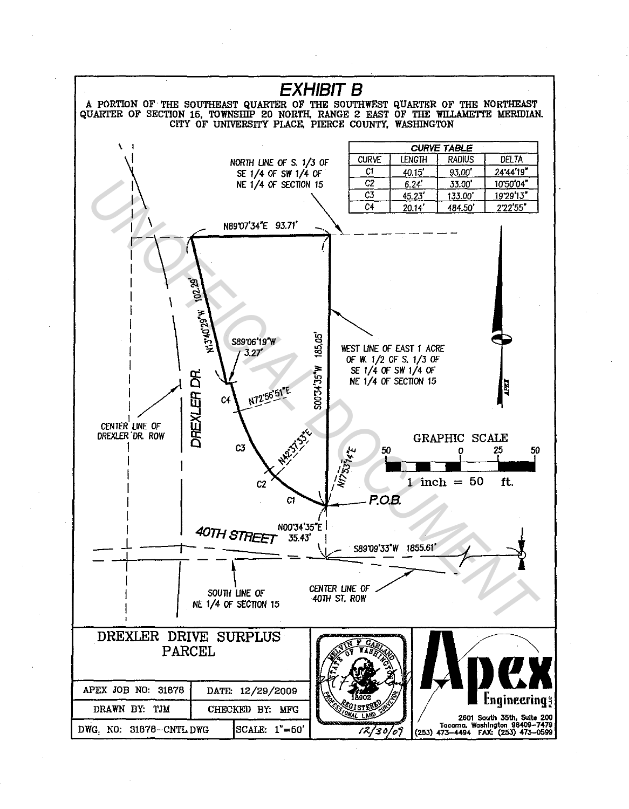